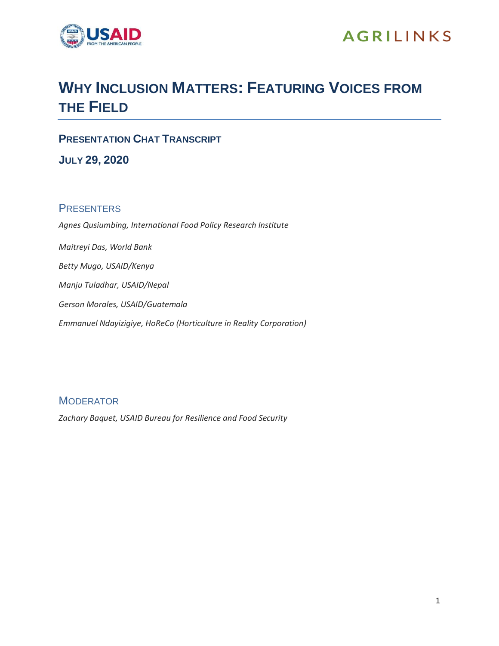

## **WHY INCLUSION MATTERS: FEATURING VOICES FROM THE FIELD**

**PRESENTATION CHAT TRANSCRIPT**

**JULY 29, 2020**

## **PRESENTERS**

*Agnes Qusiumbing, International Food Policy Research Institute Maitreyi Das, World Bank Betty Mugo, USAID/Kenya Manju Tuladhar, USAID/Nepal Gerson Morales, USAID/Guatemala Emmanuel Ndayizigiye, HoReCo (Horticulture in Reality Corporation)*

## **MODERATOR**

*Zachary Baquet, USAID Bureau for Resilience and Food Security*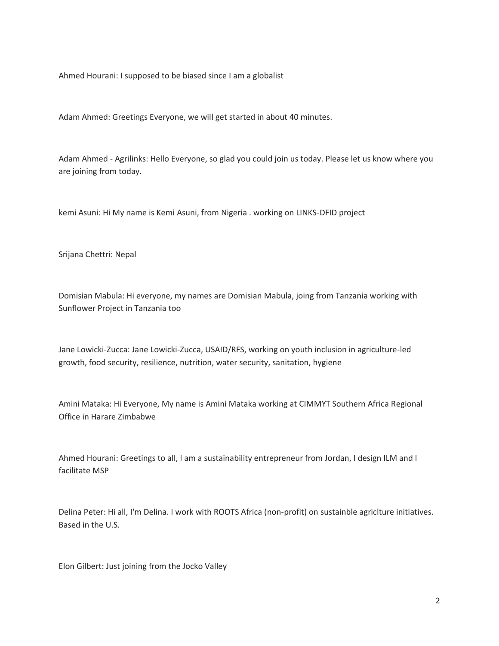Ahmed Hourani: I supposed to be biased since I am a globalist

Adam Ahmed: Greetings Everyone, we will get started in about 40 minutes.

Adam Ahmed - Agrilinks: Hello Everyone, so glad you could join us today. Please let us know where you are joining from today.

kemi Asuni: Hi My name is Kemi Asuni, from Nigeria . working on LINKS-DFID project

Srijana Chettri: Nepal

Domisian Mabula: Hi everyone, my names are Domisian Mabula, joing from Tanzania working with Sunflower Project in Tanzania too

Jane Lowicki-Zucca: Jane Lowicki-Zucca, USAID/RFS, working on youth inclusion in agriculture-led growth, food security, resilience, nutrition, water security, sanitation, hygiene

Amini Mataka: Hi Everyone, My name is Amini Mataka working at CIMMYT Southern Africa Regional Office in Harare Zimbabwe

Ahmed Hourani: Greetings to all, I am a sustainability entrepreneur from Jordan, I design ILM and I facilitate MSP

Delina Peter: Hi all, I'm Delina. I work with ROOTS Africa (non-profit) on sustainble agriclture initiatives. Based in the U.S.

Elon Gilbert: Just joining from the Jocko Valley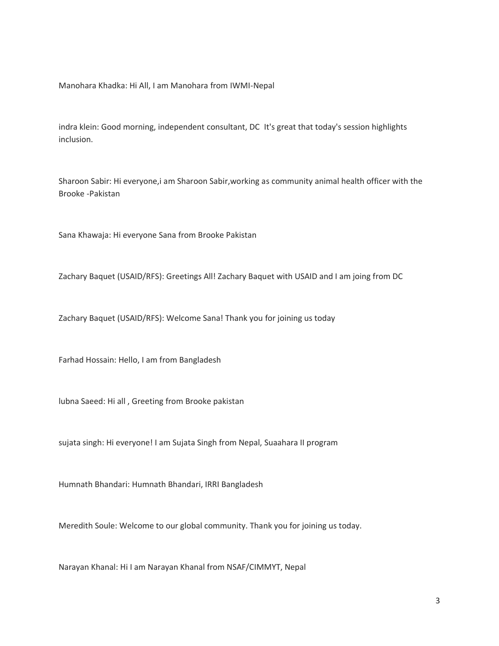Manohara Khadka: Hi All, I am Manohara from IWMI-Nepal

indra klein: Good morning, independent consultant, DC It's great that today's session highlights inclusion.

Sharoon Sabir: Hi everyone,i am Sharoon Sabir,working as community animal health officer with the Brooke -Pakistan

Sana Khawaja: Hi everyone Sana from Brooke Pakistan

Zachary Baquet (USAID/RFS): Greetings All! Zachary Baquet with USAID and I am joing from DC

Zachary Baquet (USAID/RFS): Welcome Sana! Thank you for joining us today

Farhad Hossain: Hello, I am from Bangladesh

lubna Saeed: Hi all , Greeting from Brooke pakistan

sujata singh: Hi everyone! I am Sujata Singh from Nepal, Suaahara II program

Humnath Bhandari: Humnath Bhandari, IRRI Bangladesh

Meredith Soule: Welcome to our global community. Thank you for joining us today.

Narayan Khanal: Hi I am Narayan Khanal from NSAF/CIMMYT, Nepal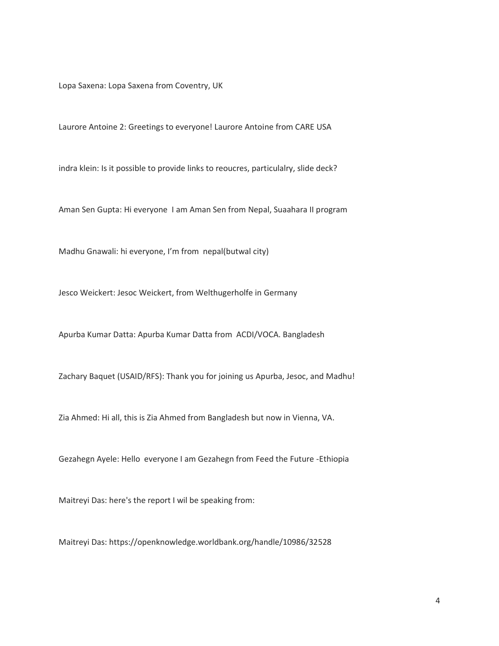Lopa Saxena: Lopa Saxena from Coventry, UK

Laurore Antoine 2: Greetings to everyone! Laurore Antoine from CARE USA

indra klein: Is it possible to provide links to reoucres, particulalry, slide deck?

Aman Sen Gupta: Hi everyone I am Aman Sen from Nepal, Suaahara II program

Madhu Gnawali: hi everyone, I'm from nepal(butwal city)

Jesco Weickert: Jesoc Weickert, from Welthugerholfe in Germany

Apurba Kumar Datta: Apurba Kumar Datta from ACDI/VOCA. Bangladesh

Zachary Baquet (USAID/RFS): Thank you for joining us Apurba, Jesoc, and Madhu!

Zia Ahmed: Hi all, this is Zia Ahmed from Bangladesh but now in Vienna, VA.

Gezahegn Ayele: Hello everyone I am Gezahegn from Feed the Future -Ethiopia

Maitreyi Das: here's the report I wil be speaking from:

Maitreyi Das: https://openknowledge.worldbank.org/handle/10986/32528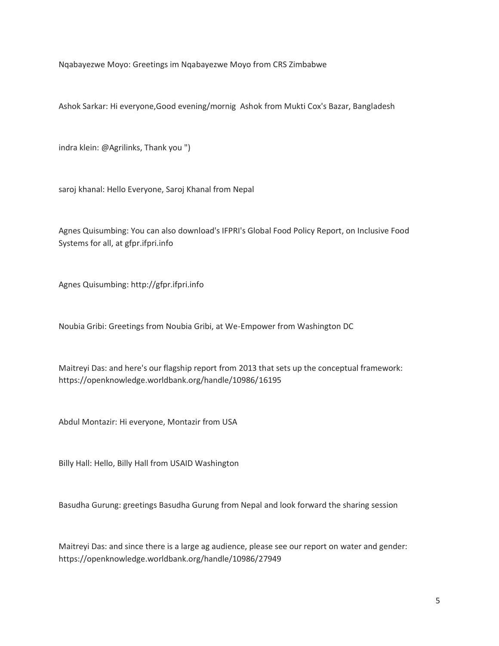Nqabayezwe Moyo: Greetings im Nqabayezwe Moyo from CRS Zimbabwe

Ashok Sarkar: Hi everyone,Good evening/mornig Ashok from Mukti Cox's Bazar, Bangladesh

indra klein: @Agrilinks, Thank you ")

saroj khanal: Hello Everyone, Saroj Khanal from Nepal

Agnes Quisumbing: You can also download's IFPRI's Global Food Policy Report, on Inclusive Food Systems for all, at gfpr.ifpri.info

Agnes Quisumbing: http://gfpr.ifpri.info

Noubia Gribi: Greetings from Noubia Gribi, at We-Empower from Washington DC

Maitreyi Das: and here's our flagship report from 2013 that sets up the conceptual framework: https://openknowledge.worldbank.org/handle/10986/16195

Abdul Montazir: Hi everyone, Montazir from USA

Billy Hall: Hello, Billy Hall from USAID Washington

Basudha Gurung: greetings Basudha Gurung from Nepal and look forward the sharing session

Maitreyi Das: and since there is a large ag audience, please see our report on water and gender: https://openknowledge.worldbank.org/handle/10986/27949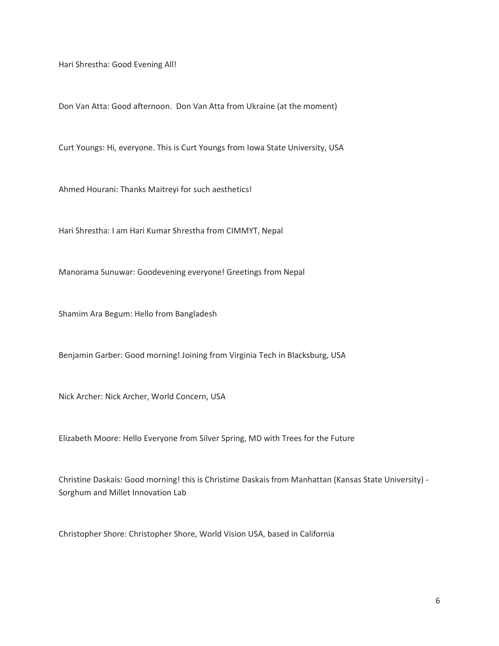Hari Shrestha: Good Evening All!

Don Van Atta: Good afternoon. Don Van Atta from Ukraine (at the moment)

Curt Youngs: Hi, everyone. This is Curt Youngs from Iowa State University, USA

Ahmed Hourani: Thanks Maitreyi for such aesthetics!

Hari Shrestha: I am Hari Kumar Shrestha from CIMMYT, Nepal

Manorama Sunuwar: Goodevening everyone! Greetings from Nepal

Shamim Ara Begum: Hello from Bangladesh

Benjamin Garber: Good morning! Joining from Virginia Tech in Blacksburg, USA

Nick Archer: Nick Archer, World Concern, USA

Elizabeth Moore: Hello Everyone from Silver Spring, MD with Trees for the Future

Christine Daskais: Good morning! this is Christime Daskais from Manhattan (Kansas State University) - Sorghum and Millet Innovation Lab

Christopher Shore: Christopher Shore, World Vision USA, based in California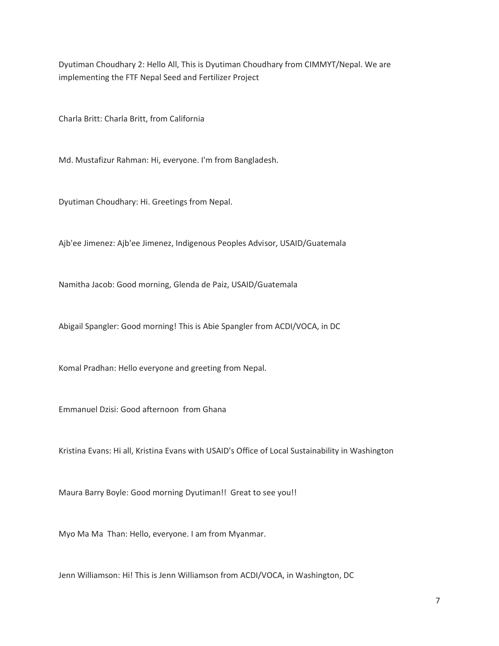Dyutiman Choudhary 2: Hello All, This is Dyutiman Choudhary from CIMMYT/Nepal. We are implementing the FTF Nepal Seed and Fertilizer Project

Charla Britt: Charla Britt, from California

Md. Mustafizur Rahman: Hi, everyone. I'm from Bangladesh.

Dyutiman Choudhary: Hi. Greetings from Nepal.

Ajb'ee Jimenez: Ajb'ee Jimenez, Indigenous Peoples Advisor, USAID/Guatemala

Namitha Jacob: Good morning, Glenda de Paiz, USAID/Guatemala

Abigail Spangler: Good morning! This is Abie Spangler from ACDI/VOCA, in DC

Komal Pradhan: Hello everyone and greeting from Nepal.

Emmanuel Dzisi: Good afternoon from Ghana

Kristina Evans: Hi all, Kristina Evans with USAID's Office of Local Sustainability in Washington

Maura Barry Boyle: Good morning Dyutiman!! Great to see you!!

Myo Ma Ma Than: Hello, everyone. I am from Myanmar.

Jenn Williamson: Hi! This is Jenn Williamson from ACDI/VOCA, in Washington, DC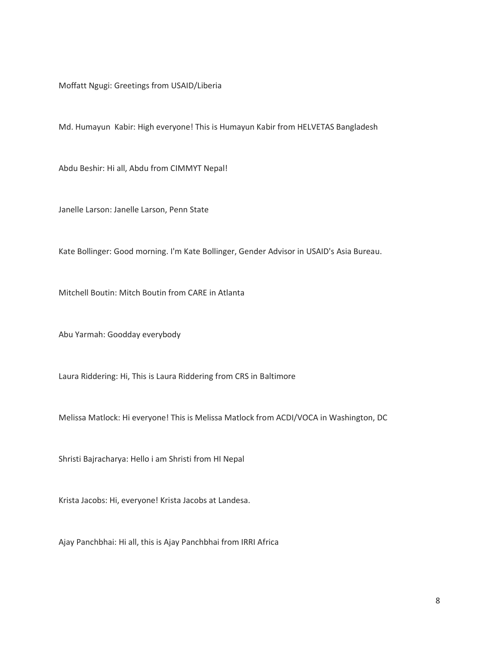Moffatt Ngugi: Greetings from USAID/Liberia

Md. Humayun Kabir: High everyone! This is Humayun Kabir from HELVETAS Bangladesh

Abdu Beshir: Hi all, Abdu from CIMMYT Nepal!

Janelle Larson: Janelle Larson, Penn State

Kate Bollinger: Good morning. I'm Kate Bollinger, Gender Advisor in USAID's Asia Bureau.

Mitchell Boutin: Mitch Boutin from CARE in Atlanta

Abu Yarmah: Goodday everybody

Laura Riddering: Hi, This is Laura Riddering from CRS in Baltimore

Melissa Matlock: Hi everyone! This is Melissa Matlock from ACDI/VOCA in Washington, DC

Shristi Bajracharya: Hello i am Shristi from HI Nepal

Krista Jacobs: Hi, everyone! Krista Jacobs at Landesa.

Ajay Panchbhai: Hi all, this is Ajay Panchbhai from IRRI Africa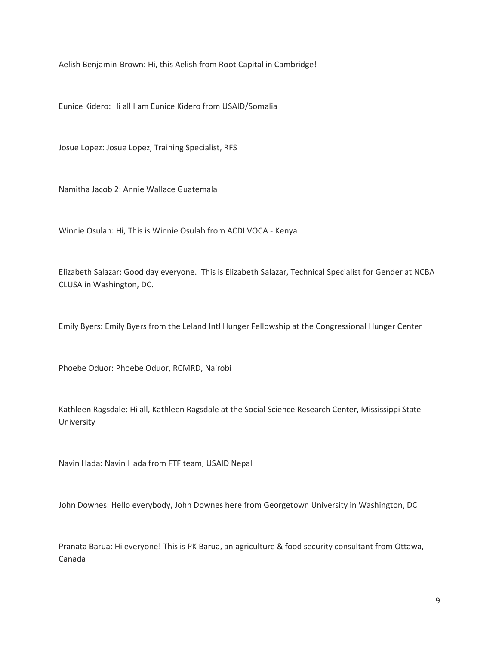Aelish Benjamin-Brown: Hi, this Aelish from Root Capital in Cambridge!

Eunice Kidero: Hi all I am Eunice Kidero from USAID/Somalia

Josue Lopez: Josue Lopez, Training Specialist, RFS

Namitha Jacob 2: Annie Wallace Guatemala

Winnie Osulah: Hi, This is Winnie Osulah from ACDI VOCA - Kenya

Elizabeth Salazar: Good day everyone. This is Elizabeth Salazar, Technical Specialist for Gender at NCBA CLUSA in Washington, DC.

Emily Byers: Emily Byers from the Leland Intl Hunger Fellowship at the Congressional Hunger Center

Phoebe Oduor: Phoebe Oduor, RCMRD, Nairobi

Kathleen Ragsdale: Hi all, Kathleen Ragsdale at the Social Science Research Center, Mississippi State University

Navin Hada: Navin Hada from FTF team, USAID Nepal

John Downes: Hello everybody, John Downes here from Georgetown University in Washington, DC

Pranata Barua: Hi everyone! This is PK Barua, an agriculture & food security consultant from Ottawa, Canada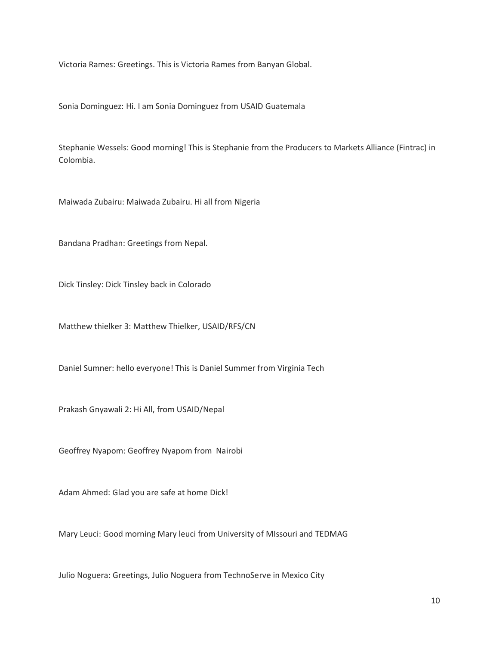Victoria Rames: Greetings. This is Victoria Rames from Banyan Global.

Sonia Dominguez: Hi. I am Sonia Dominguez from USAID Guatemala

Stephanie Wessels: Good morning! This is Stephanie from the Producers to Markets Alliance (Fintrac) in Colombia.

Maiwada Zubairu: Maiwada Zubairu. Hi all from Nigeria

Bandana Pradhan: Greetings from Nepal.

Dick Tinsley: Dick Tinsley back in Colorado

Matthew thielker 3: Matthew Thielker, USAID/RFS/CN

Daniel Sumner: hello everyone! This is Daniel Summer from Virginia Tech

Prakash Gnyawali 2: Hi All, from USAID/Nepal

Geoffrey Nyapom: Geoffrey Nyapom from Nairobi

Adam Ahmed: Glad you are safe at home Dick!

Mary Leuci: Good morning Mary leuci from University of MIssouri and TEDMAG

Julio Noguera: Greetings, Julio Noguera from TechnoServe in Mexico City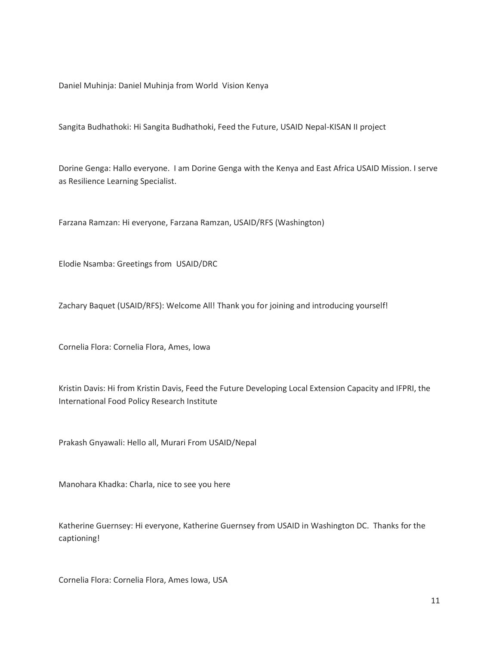Daniel Muhinja: Daniel Muhinja from World Vision Kenya

Sangita Budhathoki: Hi Sangita Budhathoki, Feed the Future, USAID Nepal-KISAN II project

Dorine Genga: Hallo everyone. I am Dorine Genga with the Kenya and East Africa USAID Mission. I serve as Resilience Learning Specialist.

Farzana Ramzan: Hi everyone, Farzana Ramzan, USAID/RFS (Washington)

Elodie Nsamba: Greetings from USAID/DRC

Zachary Baquet (USAID/RFS): Welcome All! Thank you for joining and introducing yourself!

Cornelia Flora: Cornelia Flora, Ames, Iowa

Kristin Davis: Hi from Kristin Davis, Feed the Future Developing Local Extension Capacity and IFPRI, the International Food Policy Research Institute

Prakash Gnyawali: Hello all, Murari From USAID/Nepal

Manohara Khadka: Charla, nice to see you here

Katherine Guernsey: Hi everyone, Katherine Guernsey from USAID in Washington DC. Thanks for the captioning!

Cornelia Flora: Cornelia Flora, Ames Iowa, USA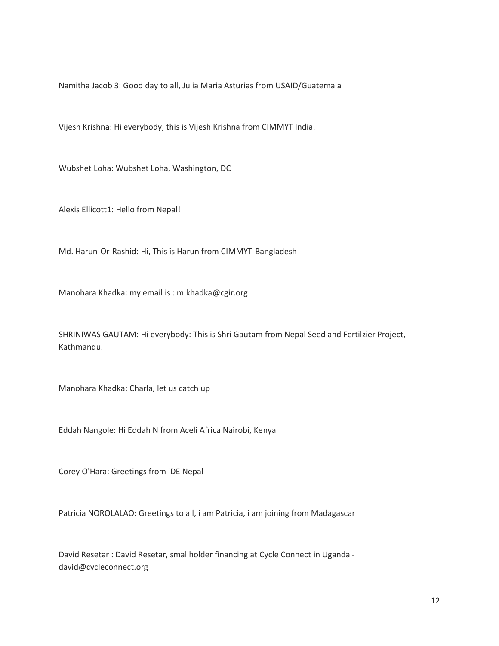Namitha Jacob 3: Good day to all, Julia Maria Asturias from USAID/Guatemala

Vijesh Krishna: Hi everybody, this is Vijesh Krishna from CIMMYT India.

Wubshet Loha: Wubshet Loha, Washington, DC

Alexis Ellicott1: Hello from Nepal!

Md. Harun-Or-Rashid: Hi, This is Harun from CIMMYT-Bangladesh

Manohara Khadka: my email is : m.khadka@cgir.org

SHRINIWAS GAUTAM: Hi everybody: This is Shri Gautam from Nepal Seed and Fertilzier Project, Kathmandu.

Manohara Khadka: Charla, let us catch up

Eddah Nangole: Hi Eddah N from Aceli Africa Nairobi, Kenya

Corey O'Hara: Greetings from iDE Nepal

Patricia NOROLALAO: Greetings to all, i am Patricia, i am joining from Madagascar

David Resetar : David Resetar, smallholder financing at Cycle Connect in Uganda david@cycleconnect.org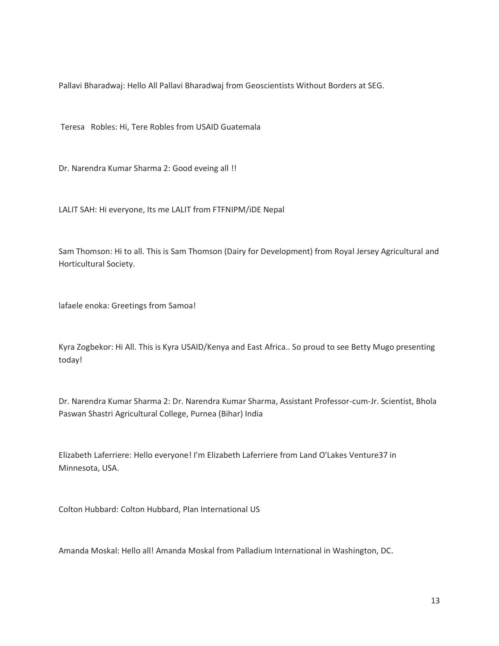Pallavi Bharadwaj: Hello All Pallavi Bharadwaj from Geoscientists Without Borders at SEG.

Teresa Robles: Hi, Tere Robles from USAID Guatemala

Dr. Narendra Kumar Sharma 2: Good eveing all !!

LALIT SAH: Hi everyone, Its me LALIT from FTFNIPM/iDE Nepal

Sam Thomson: Hi to all. This is Sam Thomson (Dairy for Development) from Royal Jersey Agricultural and Horticultural Society.

lafaele enoka: Greetings from Samoa!

Kyra Zogbekor: Hi All. This is Kyra USAID/Kenya and East Africa.. So proud to see Betty Mugo presenting today!

Dr. Narendra Kumar Sharma 2: Dr. Narendra Kumar Sharma, Assistant Professor-cum-Jr. Scientist, Bhola Paswan Shastri Agricultural College, Purnea (Bihar) India

Elizabeth Laferriere: Hello everyone! I'm Elizabeth Laferriere from Land O'Lakes Venture37 in Minnesota, USA.

Colton Hubbard: Colton Hubbard, Plan International US

Amanda Moskal: Hello all! Amanda Moskal from Palladium International in Washington, DC.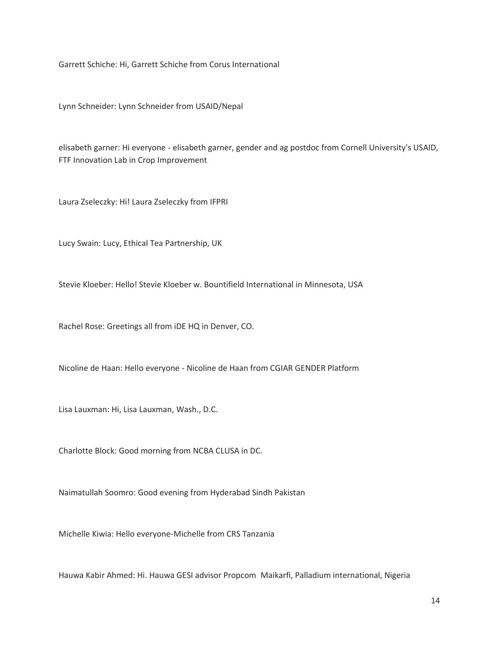Garrett Schiche: Hi, Garrett Schiche from Corus International

Lynn Schneider: Lynn Schneider from USAID/Nepal

elisabeth garner: Hi everyone - elisabeth garner, gender and ag postdoc from Cornell University's USAID, FTF Innovation Lab in Crop Improvement

Laura Zseleczky: Hi! Laura Zseleczky from IFPRI

Lucy Swain: Lucy, Ethical Tea Partnership, UK

Stevie Kloeber: Hello! Stevie Kloeber w. Bountifield International in Minnesota, USA

Rachel Rose: Greetings all from iDE HQ in Denver, CO.

Nicoline de Haan: Hello everyone - Nicoline de Haan from CGIAR GENDER Platform

Lisa Lauxman: Hi, Lisa Lauxman, Wash., D.C.

Charlotte Block: Good morning from NCBA CLUSA in DC.

Naimatullah Soomro: Good evening from Hyderabad Sindh Pakistan

Michelle Kiwia: Hello everyone-Michelle from CRS Tanzania

Hauwa Kabir Ahmed: Hi. Hauwa GESI advisor Propcom Maikarfi, Palladium international, Nigeria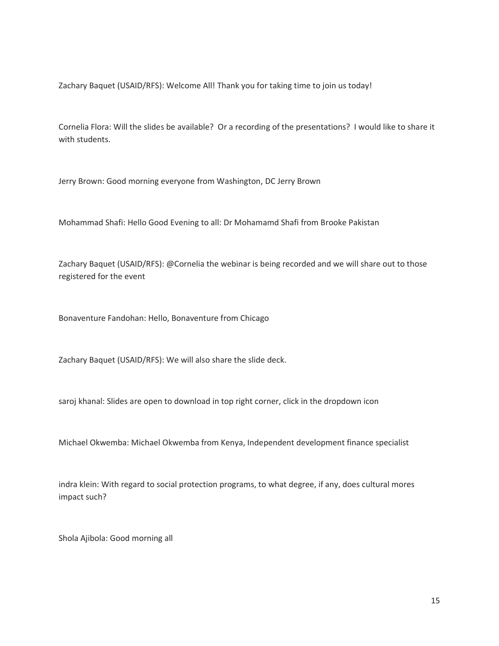Zachary Baquet (USAID/RFS): Welcome All! Thank you for taking time to join us today!

Cornelia Flora: Will the slides be available? Or a recording of the presentations? I would like to share it with students.

Jerry Brown: Good morning everyone from Washington, DC Jerry Brown

Mohammad Shafi: Hello Good Evening to all: Dr Mohamamd Shafi from Brooke Pakistan

Zachary Baquet (USAID/RFS): @Cornelia the webinar is being recorded and we will share out to those registered for the event

Bonaventure Fandohan: Hello, Bonaventure from Chicago

Zachary Baquet (USAID/RFS): We will also share the slide deck.

saroj khanal: Slides are open to download in top right corner, click in the dropdown icon

Michael Okwemba: Michael Okwemba from Kenya, Independent development finance specialist

indra klein: With regard to social protection programs, to what degree, if any, does cultural mores impact such?

Shola Ajibola: Good morning all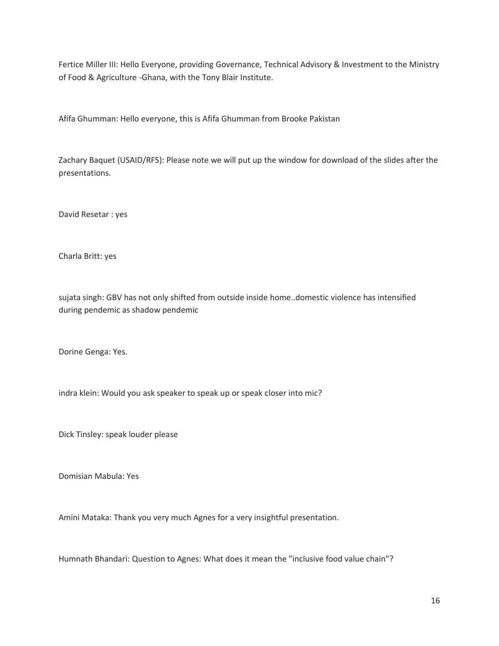Fertice Miller III: Hello Everyone, providing Governance, Technical Advisory & Investment to the Ministry of Food & Agriculture -Ghana, with the Tony Blair Institute.

Afifa Ghumman: Hello everyone, this is Afifa Ghumman from Brooke Pakistan

Zachary Baquet (USAID/RFS): Please note we will put up the window for download of the slides after the presentations.

David Resetar : yes

Charla Britt: yes

sujata singh: GBV has not only shifted from outside inside home..domestic violence has intensified during pendemic as shadow pendemic

Dorine Genga: Yes.

indra klein: Would you ask speaker to speak up or speak closer into mic?

Dick Tinsley: speak louder please

Domisian Mabula: Yes

Amini Mataka: Thank you very much Agnes for a very insightful presentation.

Humnath Bhandari: Question to Agnes: What does it mean the "inclusive food value chain"?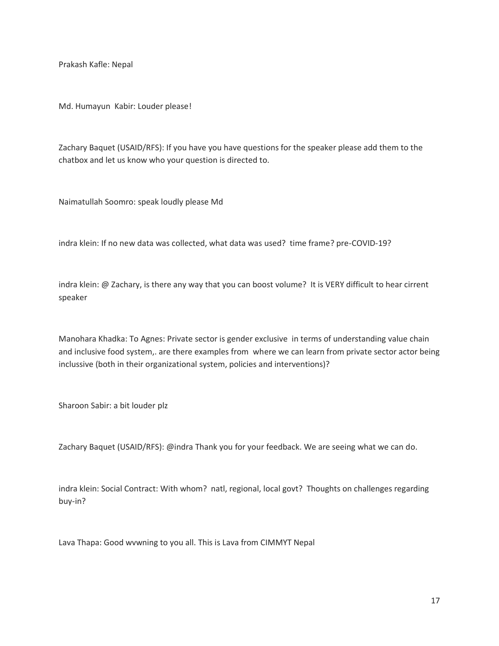Prakash Kafle: Nepal

Md. Humayun Kabir: Louder please!

Zachary Baquet (USAID/RFS): If you have you have questions for the speaker please add them to the chatbox and let us know who your question is directed to.

Naimatullah Soomro: speak loudly please Md

indra klein: If no new data was collected, what data was used? time frame? pre-COVID-19?

indra klein: @ Zachary, is there any way that you can boost volume? It is VERY difficult to hear cirrent speaker

Manohara Khadka: To Agnes: Private sector is gender exclusive in terms of understanding value chain and inclusive food system,. are there examples from where we can learn from private sector actor being inclussive (both in their organizational system, policies and interventions)?

Sharoon Sabir: a bit louder plz

Zachary Baquet (USAID/RFS): @indra Thank you for your feedback. We are seeing what we can do.

indra klein: Social Contract: With whom? natl, regional, local govt? Thoughts on challenges regarding buy-in?

Lava Thapa: Good wvwning to you all. This is Lava from CIMMYT Nepal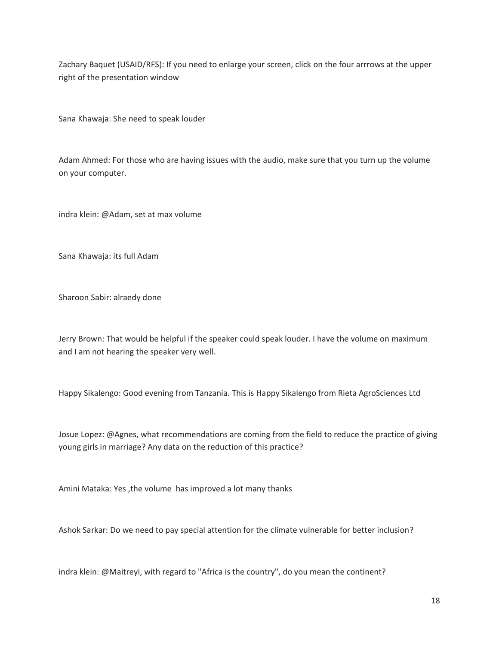Zachary Baquet (USAID/RFS): If you need to enlarge your screen, click on the four arrrows at the upper right of the presentation window

Sana Khawaja: She need to speak louder

Adam Ahmed: For those who are having issues with the audio, make sure that you turn up the volume on your computer.

indra klein: @Adam, set at max volume

Sana Khawaja: its full Adam

Sharoon Sabir: alraedy done

Jerry Brown: That would be helpful if the speaker could speak louder. I have the volume on maximum and I am not hearing the speaker very well.

Happy Sikalengo: Good evening from Tanzania. This is Happy Sikalengo from Rieta AgroSciences Ltd

Josue Lopez: @Agnes, what recommendations are coming from the field to reduce the practice of giving young girls in marriage? Any data on the reduction of this practice?

Amini Mataka: Yes ,the volume has improved a lot many thanks

Ashok Sarkar: Do we need to pay special attention for the climate vulnerable for better inclusion?

indra klein: @Maitreyi, with regard to "Africa is the country", do you mean the continent?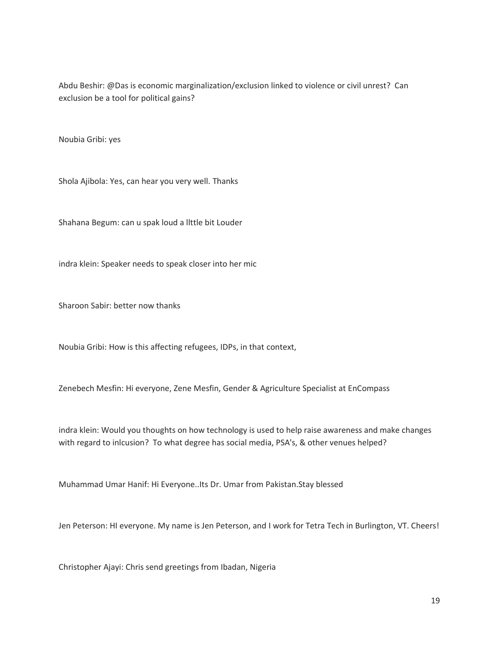Abdu Beshir: @Das is economic marginalization/exclusion linked to violence or civil unrest? Can exclusion be a tool for political gains?

Noubia Gribi: yes

Shola Ajibola: Yes, can hear you very well. Thanks

Shahana Begum: can u spak loud a llttle bit Louder

indra klein: Speaker needs to speak closer into her mic

Sharoon Sabir: better now thanks

Noubia Gribi: How is this affecting refugees, IDPs, in that context,

Zenebech Mesfin: Hi everyone, Zene Mesfin, Gender & Agriculture Specialist at EnCompass

indra klein: Would you thoughts on how technology is used to help raise awareness and make changes with regard to inlcusion? To what degree has social media, PSA's, & other venues helped?

Muhammad Umar Hanif: Hi Everyone..Its Dr. Umar from Pakistan.Stay blessed

Jen Peterson: HI everyone. My name is Jen Peterson, and I work for Tetra Tech in Burlington, VT. Cheers!

Christopher Ajayi: Chris send greetings from Ibadan, Nigeria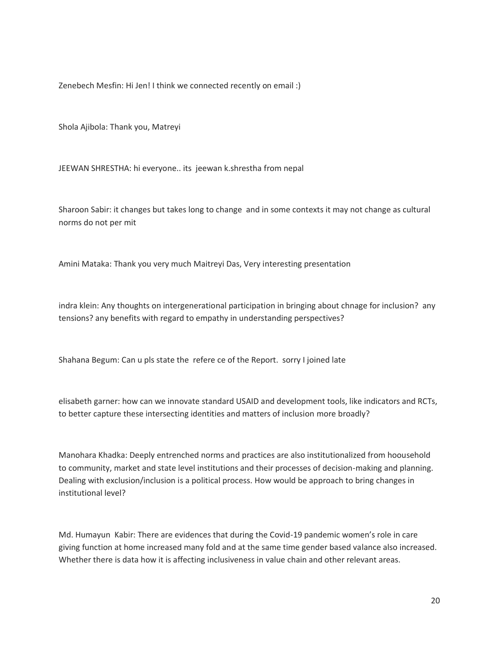Zenebech Mesfin: Hi Jen! I think we connected recently on email :)

Shola Ajibola: Thank you, Matreyi

JEEWAN SHRESTHA: hi everyone.. its jeewan k.shrestha from nepal

Sharoon Sabir: it changes but takes long to change and in some contexts it may not change as cultural norms do not per mit

Amini Mataka: Thank you very much Maitreyi Das, Very interesting presentation

indra klein: Any thoughts on intergenerational participation in bringing about chnage for inclusion? any tensions? any benefits with regard to empathy in understanding perspectives?

Shahana Begum: Can u pls state the refere ce of the Report. sorry I joined late

elisabeth garner: how can we innovate standard USAID and development tools, like indicators and RCTs, to better capture these intersecting identities and matters of inclusion more broadly?

Manohara Khadka: Deeply entrenched norms and practices are also institutionalized from hoousehold to community, market and state level institutions and their processes of decision-making and planning. Dealing with exclusion/inclusion is a political process. How would be approach to bring changes in institutional level?

Md. Humayun Kabir: There are evidences that during the Covid-19 pandemic women's role in care giving function at home increased many fold and at the same time gender based valance also increased. Whether there is data how it is affecting inclusiveness in value chain and other relevant areas.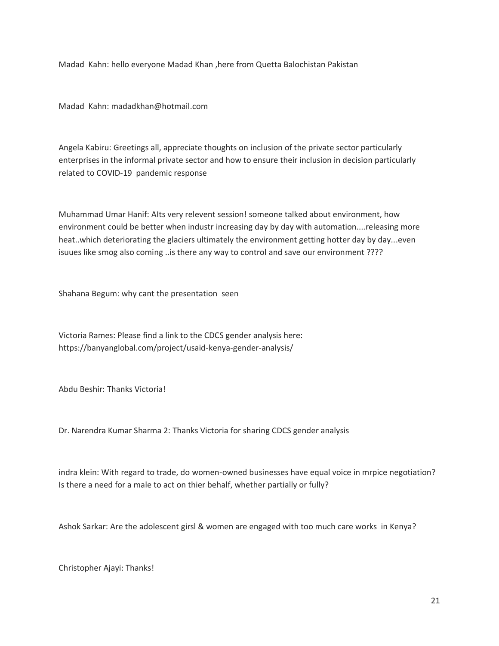Madad Kahn: hello everyone Madad Khan ,here from Quetta Balochistan Pakistan

Madad Kahn: madadkhan@hotmail.com

Angela Kabiru: Greetings all, appreciate thoughts on inclusion of the private sector particularly enterprises in the informal private sector and how to ensure their inclusion in decision particularly related to COVID-19 pandemic response

Muhammad Umar Hanif: AIts very relevent session! someone talked about environment, how environment could be better when industr increasing day by day with automation....releasing more heat..which deteriorating the glaciers ultimately the environment getting hotter day by day...even isuues like smog also coming ..is there any way to control and save our environment ????

Shahana Begum: why cant the presentation seen

Victoria Rames: Please find a link to the CDCS gender analysis here: https://banyanglobal.com/project/usaid-kenya-gender-analysis/

Abdu Beshir: Thanks Victoria!

Dr. Narendra Kumar Sharma 2: Thanks Victoria for sharing CDCS gender analysis

indra klein: With regard to trade, do women-owned businesses have equal voice in mrpice negotiation? Is there a need for a male to act on thier behalf, whether partially or fully?

Ashok Sarkar: Are the adolescent girsl & women are engaged with too much care works in Kenya?

Christopher Ajayi: Thanks!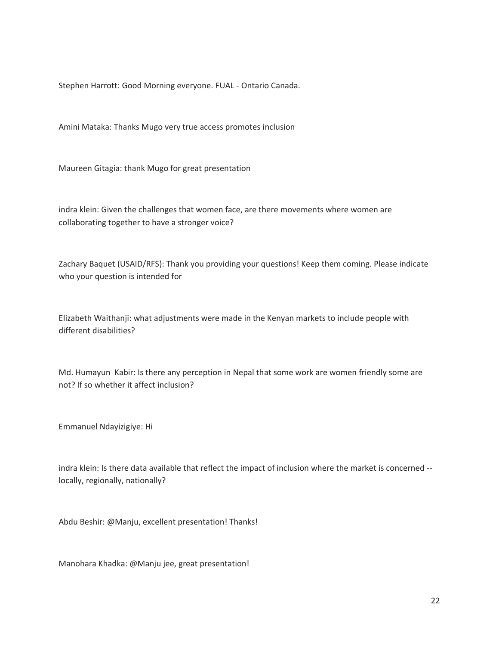Stephen Harrott: Good Morning everyone. FUAL - Ontario Canada.

Amini Mataka: Thanks Mugo very true access promotes inclusion

Maureen Gitagia: thank Mugo for great presentation

indra klein: Given the challenges that women face, are there movements where women are collaborating together to have a stronger voice?

Zachary Baquet (USAID/RFS): Thank you providing your questions! Keep them coming. Please indicate who your question is intended for

Elizabeth Waithanji: what adjustments were made in the Kenyan markets to include people with different disabilities?

Md. Humayun Kabir: Is there any perception in Nepal that some work are women friendly some are not? If so whether it affect inclusion?

Emmanuel Ndayizigiye: Hi

indra klein: Is there data available that reflect the impact of inclusion where the market is concerned - locally, regionally, nationally?

Abdu Beshir: @Manju, excellent presentation! Thanks!

Manohara Khadka: @Manju jee, great presentation!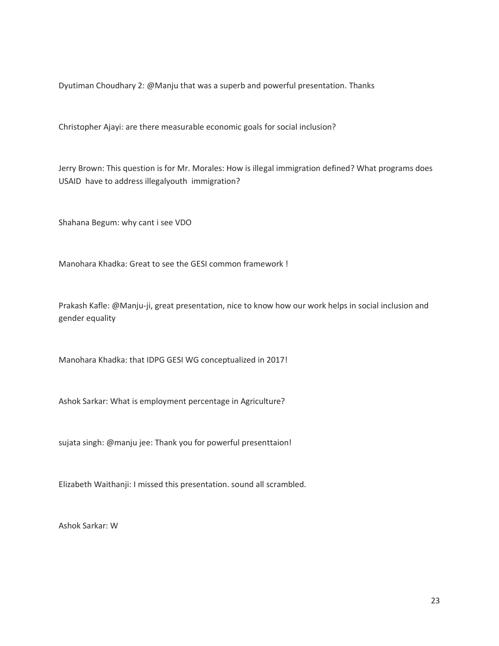Dyutiman Choudhary 2: @Manju that was a superb and powerful presentation. Thanks

Christopher Ajayi: are there measurable economic goals for social inclusion?

Jerry Brown: This question is for Mr. Morales: How is illegal immigration defined? What programs does USAID have to address illegalyouth immigration?

Shahana Begum: why cant i see VDO

Manohara Khadka: Great to see the GESI common framework !

Prakash Kafle: @Manju-ji, great presentation, nice to know how our work helps in social inclusion and gender equality

Manohara Khadka: that IDPG GESI WG conceptualized in 2017!

Ashok Sarkar: What is employment percentage in Agriculture?

sujata singh: @manju jee: Thank you for powerful presenttaion!

Elizabeth Waithanji: I missed this presentation. sound all scrambled.

Ashok Sarkar: W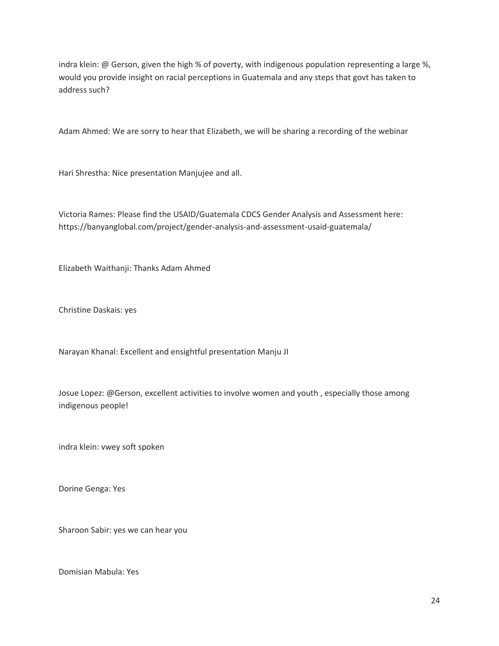indra klein: @ Gerson, given the high % of poverty, with indigenous population representing a large %, would you provide insight on racial perceptions in Guatemala and any steps that govt has taken to address such?

Adam Ahmed: We are sorry to hear that Elizabeth, we will be sharing a recording of the webinar

Hari Shrestha: Nice presentation Manjujee and all.

Victoria Rames: Please find the USAID/Guatemala CDCS Gender Analysis and Assessment here: https://banyanglobal.com/project/gender-analysis-and-assessment-usaid-guatemala/

Elizabeth Waithanji: Thanks Adam Ahmed

Christine Daskais: yes

Narayan Khanal: Excellent and ensightful presentation Manju JI

Josue Lopez: @Gerson, excellent activities to involve women and youth , especially those among indigenous people!

indra klein: vwey soft spoken

Dorine Genga: Yes

Sharoon Sabir: yes we can hear you

Domisian Mabula: Yes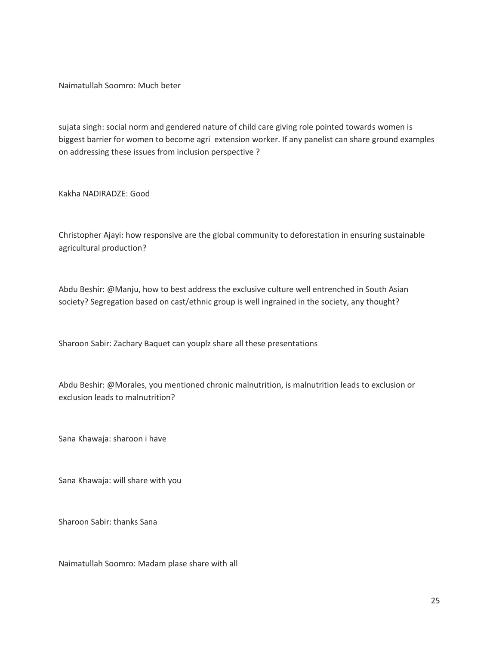Naimatullah Soomro: Much beter

sujata singh: social norm and gendered nature of child care giving role pointed towards women is biggest barrier for women to become agri extension worker. If any panelist can share ground examples on addressing these issues from inclusion perspective ?

Kakha NADIRADZE: Good

Christopher Ajayi: how responsive are the global community to deforestation in ensuring sustainable agricultural production?

Abdu Beshir: @Manju, how to best address the exclusive culture well entrenched in South Asian society? Segregation based on cast/ethnic group is well ingrained in the society, any thought?

Sharoon Sabir: Zachary Baquet can youplz share all these presentations

Abdu Beshir: @Morales, you mentioned chronic malnutrition, is malnutrition leads to exclusion or exclusion leads to malnutrition?

Sana Khawaja: sharoon i have

Sana Khawaja: will share with you

Sharoon Sabir: thanks Sana

Naimatullah Soomro: Madam plase share with all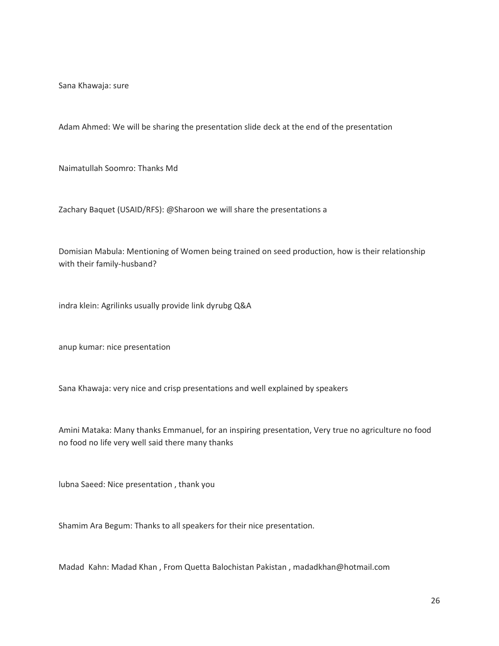Sana Khawaja: sure

Adam Ahmed: We will be sharing the presentation slide deck at the end of the presentation

Naimatullah Soomro: Thanks Md

Zachary Baquet (USAID/RFS): @Sharoon we will share the presentations a

Domisian Mabula: Mentioning of Women being trained on seed production, how is their relationship with their family-husband?

indra klein: Agrilinks usually provide link dyrubg Q&A

anup kumar: nice presentation

Sana Khawaja: very nice and crisp presentations and well explained by speakers

Amini Mataka: Many thanks Emmanuel, for an inspiring presentation, Very true no agriculture no food no food no life very well said there many thanks

lubna Saeed: Nice presentation , thank you

Shamim Ara Begum: Thanks to all speakers for their nice presentation.

Madad Kahn: Madad Khan , From Quetta Balochistan Pakistan , madadkhan@hotmail.com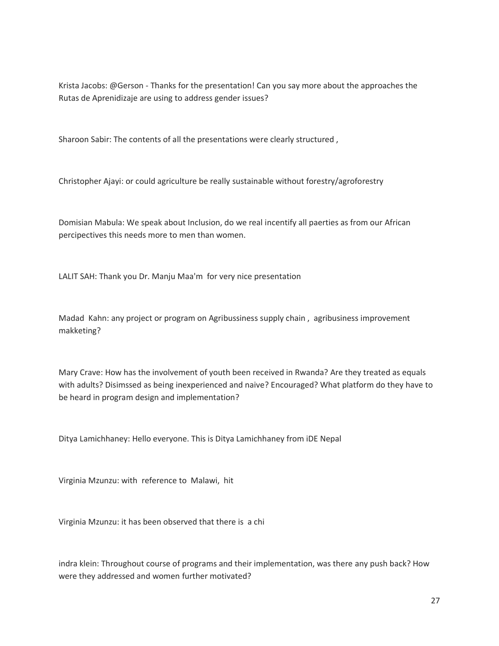Krista Jacobs: @Gerson - Thanks for the presentation! Can you say more about the approaches the Rutas de Aprenidizaje are using to address gender issues?

Sharoon Sabir: The contents of all the presentations were clearly structured ,

Christopher Ajayi: or could agriculture be really sustainable without forestry/agroforestry

Domisian Mabula: We speak about Inclusion, do we real incentify all paerties as from our African percipectives this needs more to men than women.

LALIT SAH: Thank you Dr. Manju Maa'm for very nice presentation

Madad Kahn: any project or program on Agribussiness supply chain , agribusiness improvement makketing?

Mary Crave: How has the involvement of youth been received in Rwanda? Are they treated as equals with adults? Disimssed as being inexperienced and naive? Encouraged? What platform do they have to be heard in program design and implementation?

Ditya Lamichhaney: Hello everyone. This is Ditya Lamichhaney from iDE Nepal

Virginia Mzunzu: with reference to Malawi, hit

Virginia Mzunzu: it has been observed that there is a chi

indra klein: Throughout course of programs and their implementation, was there any push back? How were they addressed and women further motivated?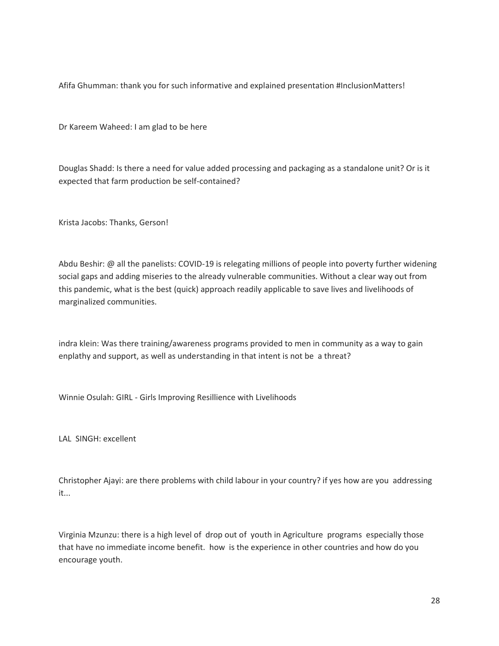Afifa Ghumman: thank you for such informative and explained presentation #InclusionMatters!

Dr Kareem Waheed: I am glad to be here

Douglas Shadd: Is there a need for value added processing and packaging as a standalone unit? Or is it expected that farm production be self-contained?

Krista Jacobs: Thanks, Gerson!

Abdu Beshir: @ all the panelists: COVID-19 is relegating millions of people into poverty further widening social gaps and adding miseries to the already vulnerable communities. Without a clear way out from this pandemic, what is the best (quick) approach readily applicable to save lives and livelihoods of marginalized communities.

indra klein: Was there training/awareness programs provided to men in community as a way to gain enplathy and support, as well as understanding in that intent is not be a threat?

Winnie Osulah: GIRL - Girls Improving Resillience with Livelihoods

LAL SINGH: excellent

Christopher Ajayi: are there problems with child labour in your country? if yes how are you addressing it...

Virginia Mzunzu: there is a high level of drop out of youth in Agriculture programs especially those that have no immediate income benefit. how is the experience in other countries and how do you encourage youth.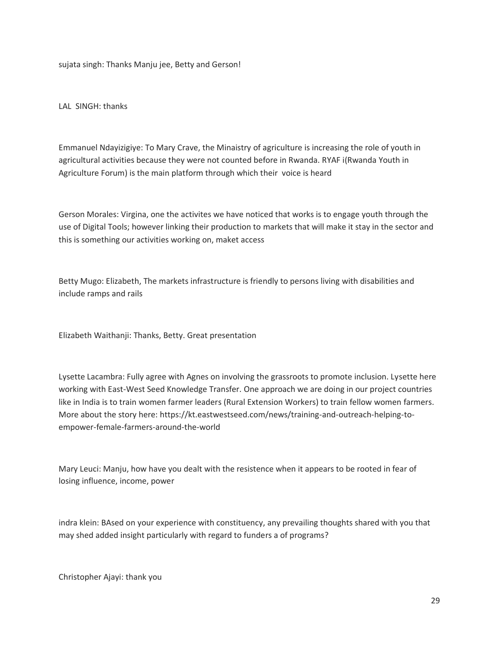sujata singh: Thanks Manju jee, Betty and Gerson!

LAL SINGH: thanks

Emmanuel Ndayizigiye: To Mary Crave, the Minaistry of agriculture is increasing the role of youth in agricultural activities because they were not counted before in Rwanda. RYAF i(Rwanda Youth in Agriculture Forum) is the main platform through which their voice is heard

Gerson Morales: Virgina, one the activites we have noticed that works is to engage youth through the use of Digital Tools; however linking their production to markets that will make it stay in the sector and this is something our activities working on, maket access

Betty Mugo: Elizabeth, The markets infrastructure is friendly to persons living with disabilities and include ramps and rails

Elizabeth Waithanji: Thanks, Betty. Great presentation

Lysette Lacambra: Fully agree with Agnes on involving the grassroots to promote inclusion. Lysette here working with East-West Seed Knowledge Transfer. One approach we are doing in our project countries like in India is to train women farmer leaders (Rural Extension Workers) to train fellow women farmers. More about the story here: https://kt.eastwestseed.com/news/training-and-outreach-helping-toempower-female-farmers-around-the-world

Mary Leuci: Manju, how have you dealt with the resistence when it appears to be rooted in fear of losing influence, income, power

indra klein: BAsed on your experience with constituency, any prevailing thoughts shared with you that may shed added insight particularly with regard to funders a of programs?

Christopher Ajayi: thank you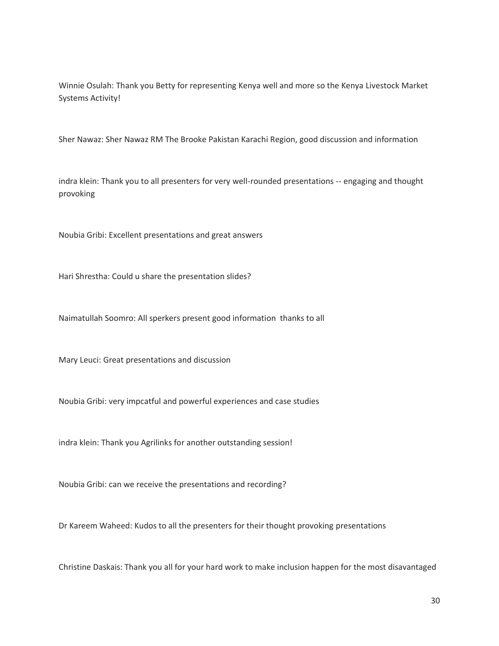Winnie Osulah: Thank you Betty for representing Kenya well and more so the Kenya Livestock Market Systems Activity!

Sher Nawaz: Sher Nawaz RM The Brooke Pakistan Karachi Region, good discussion and information

indra klein: Thank you to all presenters for very well-rounded presentations -- engaging and thought provoking

Noubia Gribi: Excellent presentations and great answers

Hari Shrestha: Could u share the presentation slides?

Naimatullah Soomro: All sperkers present good information thanks to all

Mary Leuci: Great presentations and discussion

Noubia Gribi: very impcatful and powerful experiences and case studies

indra klein: Thank you Agrilinks for another outstanding session!

Noubia Gribi: can we receive the presentations and recording?

Dr Kareem Waheed: Kudos to all the presenters for their thought provoking presentations

Christine Daskais: Thank you all for your hard work to make inclusion happen for the most disavantaged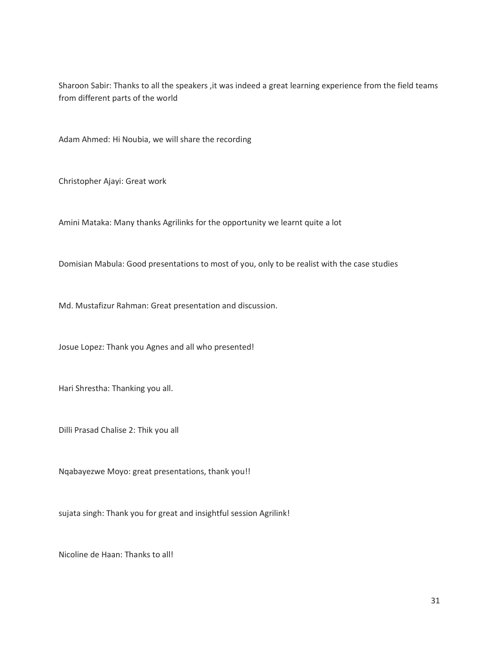Sharoon Sabir: Thanks to all the speakers , it was indeed a great learning experience from the field teams from different parts of the world

Adam Ahmed: Hi Noubia, we will share the recording

Christopher Ajayi: Great work

Amini Mataka: Many thanks Agrilinks for the opportunity we learnt quite a lot

Domisian Mabula: Good presentations to most of you, only to be realist with the case studies

Md. Mustafizur Rahman: Great presentation and discussion.

Josue Lopez: Thank you Agnes and all who presented!

Hari Shrestha: Thanking you all.

Dilli Prasad Chalise 2: Thik you all

Nqabayezwe Moyo: great presentations, thank you!!

sujata singh: Thank you for great and insightful session Agrilink!

Nicoline de Haan: Thanks to all!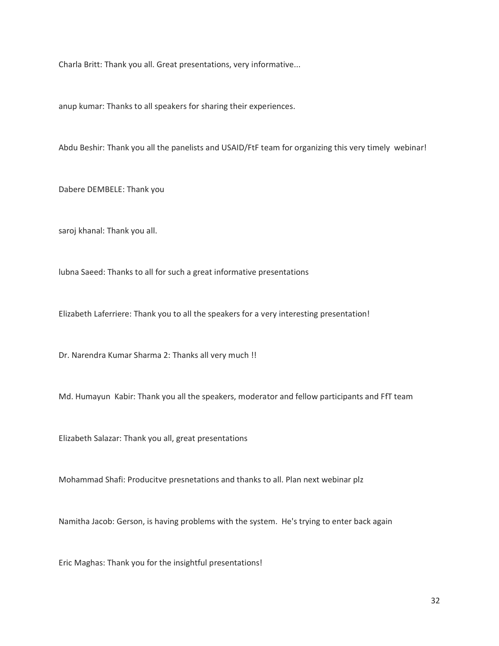Charla Britt: Thank you all. Great presentations, very informative...

anup kumar: Thanks to all speakers for sharing their experiences.

Abdu Beshir: Thank you all the panelists and USAID/FtF team for organizing this very timely webinar!

Dabere DEMBELE: Thank you

saroj khanal: Thank you all.

lubna Saeed: Thanks to all for such a great informative presentations

Elizabeth Laferriere: Thank you to all the speakers for a very interesting presentation!

Dr. Narendra Kumar Sharma 2: Thanks all very much !!

Md. Humayun Kabir: Thank you all the speakers, moderator and fellow participants and FfT team

Elizabeth Salazar: Thank you all, great presentations

Mohammad Shafi: Producitve presnetations and thanks to all. Plan next webinar plz

Namitha Jacob: Gerson, is having problems with the system. He's trying to enter back again

Eric Maghas: Thank you for the insightful presentations!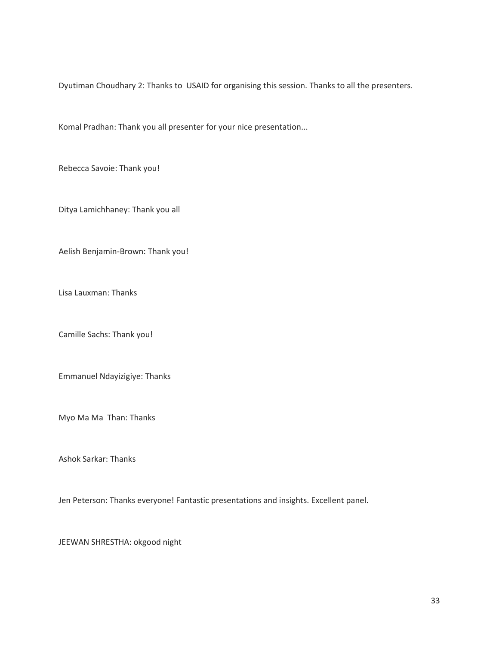Dyutiman Choudhary 2: Thanks to USAID for organising this session. Thanks to all the presenters.

Komal Pradhan: Thank you all presenter for your nice presentation...

Rebecca Savoie: Thank you!

Ditya Lamichhaney: Thank you all

Aelish Benjamin-Brown: Thank you!

Lisa Lauxman: Thanks

Camille Sachs: Thank you!

Emmanuel Ndayizigiye: Thanks

Myo Ma Ma Than: Thanks

Ashok Sarkar: Thanks

Jen Peterson: Thanks everyone! Fantastic presentations and insights. Excellent panel.

JEEWAN SHRESTHA: okgood night